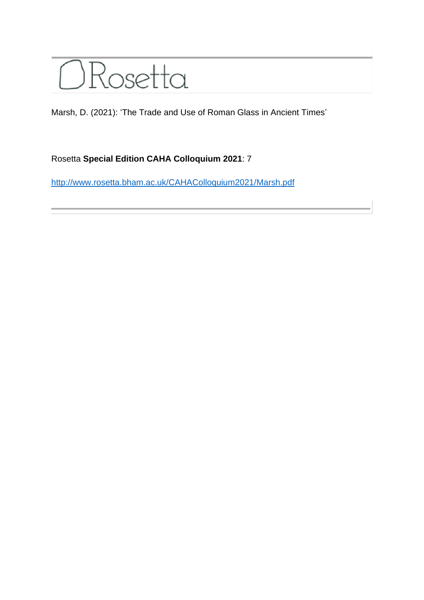

Marsh, D. (2021): 'The Trade and Use of Roman Glass in Ancient Times'

## Rosetta **Special Edition CAHA Colloquium 2021**: 7

<http://www.rosetta.bham.ac.uk/CAHAColloquium2021/Marsh.pdf>